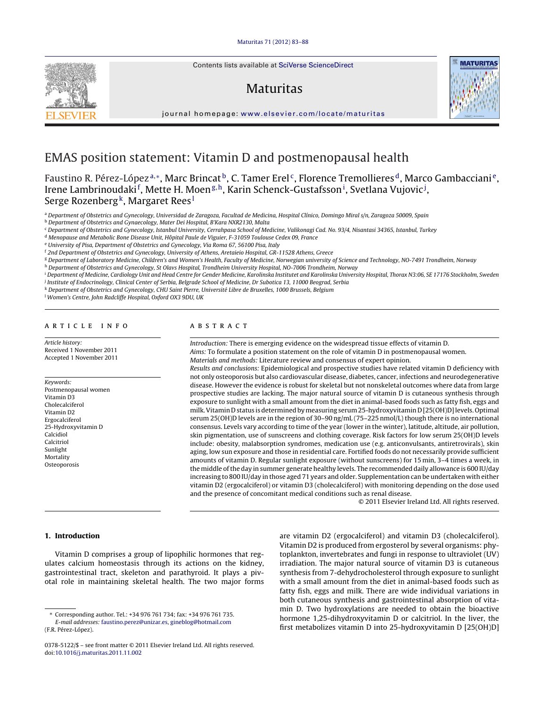Contents lists available at SciVerse [ScienceDirect](http://www.sciencedirect.com/science/journal/03785122)

# Maturitas



journal hom epage: [www.elsevier.com/locate/maturitas](http://www.elsevier.com/locate/maturitas)

# EMAS position statement: Vitamin D and postmenopausal health

Faustino R. Pérez-López<sup>a,∗</sup>, Marc Brincat<sup>b</sup>, C. Tamer Erel<sup>c</sup>, Florence Tremollieres<sup>d</sup>, Marco Gambacciani<sup>e</sup>, Irene Lambrinoudaki<sup>f</sup>, Mette H. Moen<sup>g,h</sup>, Karin Schenck-Gustafsson<sup>i</sup>, Svetlana Vujovic<sup>j</sup>, Serge Rozenberg<sup>k</sup>, Margaret Rees<sup>1</sup>

<sup>a</sup> Department of Obstetrics and Gynecology, Universidad de Zaragoza, Facultad de Medicina, Hospital Clínico, Domingo Miral s/n, Zaragoza 50009, Spain

<sup>b</sup> Department of Obstetrics and Gynaecology, Mater Dei Hospital, B'Kara NXR2130, Malta

<sup>c</sup> Department of Obstetrics and Gynecology, Istanbul University, Cerrahpasa School of Medicine, Valikonagi Cad. No. 93/4, Nisantasi 34365, Istanbul, Turkey

<sup>d</sup> Menopause and Metabolic Bone Disease Unit, Hôpital Paule de Viguier, F-31059 Toulouse Cedex 09, France

<sup>e</sup> University of Pisa, Department of Obstetrics and Gynecology, Via Roma 67, 56100 Pisa, Italy

<sup>f</sup> 2nd Department of Obstetrics and Gynecology, University of Athens, Aretaieio Hospital, GR-11528 Athens, Greece

<sup>g</sup> Department of Laboratory Medicine, Children's and Women's Health, Faculty of Medicine, Norwegian university of Science and Technology, NO-7491 Trondheim, Norway h Department of Obstetrics and Gynecology, St Olavs Hospital, Trondheim University Hospital, NO-7006 Trondheim, Norway

<sup>i</sup> Department of Medicine, Cardiology Unit and Head Centre for Gender Medicine, Karolinska Institutet and Karolinska University Hospital, Thorax N3:06, SE 17176 Stockholm, Sweden <sup>j</sup> Institute of Endocrinology, Clinical Center of Serbia, Belgrade School of Medicine, Dr Subotica 13, 11000 Beograd, Serbia

<sup>k</sup> Department of Obstetrics and Gynecology, CHU Saint Pierre, Université Libre de Bruxelles, 1000 Brussels, Belgium

<sup>l</sup> Women's Centre, John Radcliffe Hospital, Oxford OX3 9DU, UK

#### a r t i c l e i n f o

Article history: Received 1 November 2011 Accepted 1 November 2011

Keywords: Postmenopausal women Vitamin D3 Cholecalciferol Vitamin D2 Ergocalciferol 25-Hydroxyvitamin D Calcidiol Calcitriol Sunlight Mortality Osteoporosis

# A B S T R A C T

Introduction: There is emerging evidence on the widespread tissue effects of vitamin D. Aims: To formulate a position statement on the role of vitamin D in postmenopausal women. Materials and methods: Literature review and consensus of expert opinion.

Results and conclusions: Epidemiological and prospective studies have related vitamin D deficiency with not only osteoporosis but also cardiovascular disease, diabetes, cancer, infections and neurodegenerative disease. However the evidence is robust for skeletal but not nonskeletal outcomes where data from large prospective studies are lacking. The major natural source of vitamin D is cutaneous synthesis through exposure to sunlight with a small amount from the diet in animal-based foods such as fatty fish, eggs and milk. Vitamin D status is determined by measuring serum 25-hydroxyvitamin D [25(OH)D] levels. Optimal serum 25(OH)D levels are in the region of 30–90 ng/mL (75–225 nmol/L) though there is no international consensus. Levels vary according to time of the year (lower in the winter), latitude, altitude, air pollution, skin pigmentation, use of sunscreens and clothing coverage. Risk factors for low serum 25(OH)D levels include: obesity, malabsorption syndromes, medication use (e.g. anticonvulsants, antiretrovirals), skin aging, low sun exposure and those in residential care. Fortified foods do not necessarily provide sufficient amounts of vitamin D. Regular sunlight exposure (without sunscreens) for 15 min, 3–4 times a week, in the middle ofthe day in summer generate healthy levels. The recommended daily allowance is 600 IU/day increasing to 800 IU/day in those aged 71 years and older. Supplementation can be undertaken with either vitamin D2 (ergocalciferol) or vitamin D3 (cholecalciferol) with monitoring depending on the dose used and the presence of concomitant medical conditions such as renal disease.

© 2011 Elsevier Ireland Ltd. All rights reserved.

# **1. Introduction**

Vitamin D comprises a group of lipophilic hormones that regulates calcium homeostasis through its actions on the kidney, gastrointestinal tract, skeleton and parathyroid. It plays a pivotal role in maintaining skeletal health. The two major forms

are vitamin D2 (ergocalciferol) and vitamin D3 (cholecalciferol). Vitamin D2 is produced from ergosterol by several organisms: phytoplankton, invertebrates and fungi in response to ultraviolet (UV) irradiation. The major natural source of vitamin D3 is cutaneous synthesis from 7-dehydrocholesterol through exposure to sunlight with a small amount from the diet in animal-based foods such as fatty fish, eggs and milk. There are wide individual variations in both cutaneous synthesis and gastrointestinal absorption of vitamin D. Two hydroxylations are needed to obtain the bioactive hormone 1,25-dihydroxyvitamin D or calcitriol. In the liver, the first metabolizes vitamin D into 25-hydroxyvitamin D [25(OH)D]

<sup>∗</sup> Corresponding author. Tel.: +34 976 761 734; fax: +34 976 761 735. E-mail addresses: [faustino.perez@unizar.es,](mailto:faustino.perez@unizar.es) [gineblog@hotmail.com](mailto:gineblog@hotmail.com)

<sup>(</sup>F.R. Pérez-López).

<sup>0378-5122/\$</sup> – see front matter © 2011 Elsevier Ireland Ltd. All rights reserved. doi:[10.1016/j.maturitas.2011.11.002](dx.doi.org/10.1016/j.maturitas.2011.11.002)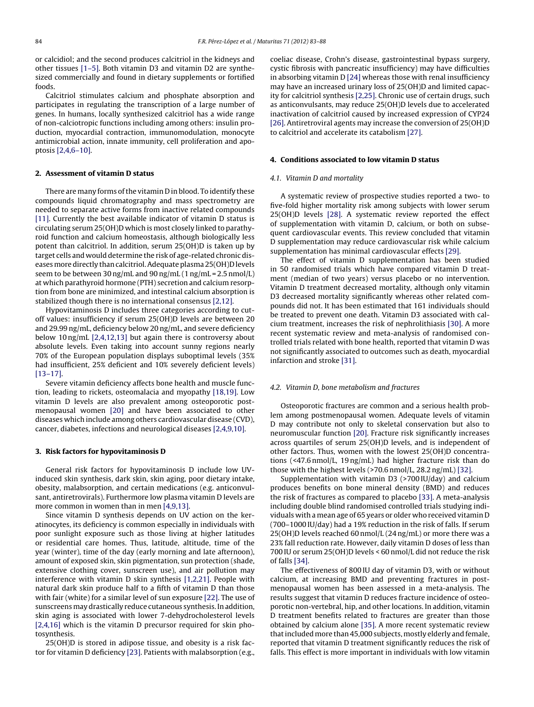or calcidiol; and the second produces calcitriol in the kidneys and other tissues [\[1–5\].](#page-4-0) Both vitamin D3 and vitamin D2 are synthesized commercially and found in dietary supplements or fortified foods.

Calcitriol stimulates calcium and phosphate absorption and participates in regulating the transcription of a large number of genes. In humans, locally synthesized calcitriol has a wide range of non-calciotropic functions including among others: insulin production, myocardial contraction, immunomodulation, monocyte antimicrobial action, innate immunity, cell proliferation and apoptosis [\[2,4,6–10\].](#page-4-0)

# **2. Assessment of vitamin D status**

There are many forms of the vitamin D in blood. To identify these compounds liquid chromatography and mass spectrometry are needed to separate active forms from inactive related compounds [\[11\].](#page-4-0) Currently the best available indicator of vitamin D status is circulating serum 25(OH)D which is most closely linked to parathyroid function and calcium homeostasis, although biologically less potent than calcitriol. In addition, serum 25(OH)D is taken up by target cells and would determine the risk of age-related chronic diseases more directly than calcitriol. Adequate plasma 25(OH)D levels seem to be between 30 ng/mL and 90 ng/mL  $(1 \text{ ng/mL} = 2.5 \text{ nmol/L})$ at which parathyroid hormone (PTH) secretion and calcium resorption from bone are minimized, and intestinal calcium absorption is stabilized though there is no international consensus [\[2,12\].](#page-4-0)

Hypovitaminosis D includes three categories according to cutoff values: insufficiency if serum 25(OH)D levels are between 20 and 29.99 ng/mL, deficiency below 20 ng/mL, and severe deficiency below 10 ng/mL [\[2,4,12,13\]](#page-4-0) but again there is controversy about absolute levels. Even taking into account sunny regions nearly 70% of the European population displays suboptimal levels (35% had insufficient, 25% deficient and 10% severely deficient levels) [\[13–17\].](#page-4-0)

Severe vitamin deficiency affects bone health and muscle function, leading to rickets, osteomalacia and myopathy [\[18,19\].](#page-4-0) Low vitamin D levels are also prevalent among osteoporotic postmenopausal women [\[20\]](#page-4-0) and have been associated to other diseases which include among others cardiovascular disease (CVD), cancer, diabetes, infections and neurological diseases [\[2,4,9,10\].](#page-4-0)

#### **3. Risk factors for hypovitaminosis D**

General risk factors for hypovitaminosis D include low UVinduced skin synthesis, dark skin, skin aging, poor dietary intake, obesity, malabsorption, and certain medications (e.g. anticonvulsant, antiretrovirals). Furthermore low plasma vitamin D levels are more common in women than in men [\[4,9,13\].](#page-4-0)

Since vitamin D synthesis depends on UV action on the keratinocytes, its deficiency is common especially in individuals with poor sunlight exposure such as those living at higher latitudes or residential care homes. Thus, latitude, altitude, time of the year (winter), time of the day (early morning and late afternoon), amount of exposed skin, skin pigmentation, sun protection (shade, extensive clothing cover, sunscreen use), and air pollution may interference with vitamin D skin synthesis [\[1,2,21\].](#page-4-0) People with natural dark skin produce half to a fifth of vitamin D than those with fair (white) for a similar level of sun exposure [\[22\].](#page-4-0) The use of sunscreens may drastically reduce cutaneous synthesis. In addition, skin aging is associated with lower 7-dehydrocholesterol levels [\[2,4,16\]](#page-4-0) which is the vitamin D precursor required for skin photosynthesis.

25(OH)D is stored in adipose tissue, and obesity is a risk factor for vitamin D deficiency [\[23\].](#page-4-0) Patients with malabsorption (e.g., coeliac disease, Crohn's disease, gastrointestinal bypass surgery, cystic fibrosis with pancreatic insufficiency) may have difficulties in absorbing vitamin D [\[24\]](#page-4-0) whereas those with renal insufficiency may have an increased urinary loss of 25(OH)D and limited capacity for calcitriol synthesis [\[2,25\].](#page-4-0) Chronic use of certain drugs, such as anticonvulsants, may reduce 25(OH)D levels due to accelerated inactivation of calcitriol caused by increased expression of CYP24 [\[26\].](#page-4-0) Antiretroviral agents may increase the conversion of 25(OH)D to calcitriol and accelerate its catabolism [\[27\].](#page-4-0)

## **4. Conditions associated to low vitamin D status**

### 4.1. Vitamin D and mortality

A systematic review of prospective studies reported a two- to five-fold higher mortality risk among subjects with lower serum 25(OH)D levels [\[28\].](#page-4-0) A systematic review reported the effect of supplementation with vitamin D, calcium, or both on subsequent cardiovascular events. This review concluded that vitamin D supplementation may reduce cardiovascular risk while calcium supplementation has minimal cardiovascular effects [\[29\].](#page-4-0)

The effect of vitamin D supplementation has been studied in 50 randomised trials which have compared vitamin D treatment (median of two years) versus placebo or no intervention. Vitamin D treatment decreased mortality, although only vitamin D3 decreased mortality significantly whereas other related compounds did not. It has been estimated that 161 individuals should be treated to prevent one death. Vitamin D3 associated with calcium treatment, increases the risk of nephrolithiasis [\[30\].](#page-4-0) A more recent systematic review and meta-analysis of randomised controlled trials related with bone health, reported that vitamin D was not significantly associated to outcomes such as death, myocardial infarction and stroke [\[31\].](#page-4-0)

#### 4.2. Vitamin D, bone metabolism and fractures

Osteoporotic fractures are common and a serious health problem among postmenopausal women. Adequate levels of vitamin D may contribute not only to skeletal conservation but also to neuromuscular function [\[20\].](#page-4-0) Fracture risk significantly increases across quartiles of serum 25(OH)D levels, and is independent of other factors. Thus, women with the lowest 25(OH)D concentrations (<47.6 nmol/L, 19 ng/mL) had higher fracture risk than do those with the highest levels (>70.6 nmol/L, 28.2 ng/mL) [\[32\].](#page-4-0)

Supplementation with vitamin D3 (>700 IU/day) and calcium produces benefits on bone mineral density (BMD) and reduces the risk of fractures as compared to placebo [\[33\].](#page-4-0) A meta-analysis including double blind randomised controlled trials studying individuals with a mean age of 65 years or older who received vitamin D (700–1000 IU/day) had a 19% reduction in the risk of falls. If serum 25(OH)D levels reached 60 nmol/L (24 ng/mL) or more there was a 23% fall reduction rate. However, daily vitamin D doses of less than 700 IU or serum 25(OH)D levels < 60 nmol/L did not reduce the risk of falls [\[34\].](#page-4-0)

The effectiveness of 800 IU day of vitamin D3, with or without calcium, at increasing BMD and preventing fractures in postmenopausal women has been assessed in a meta-analysis. The results suggest that vitamin D reduces fracture incidence of osteoporotic non-vertebral, hip, and other locations. In addition, vitamin D treatment benefits related to fractures are greater than those obtained by calcium alone [\[35\].](#page-4-0) A more recent systematic review that included more than 45,000 subjects, mostly elderly and female, reported that vitamin D treatment significantly reduces the risk of falls. This effect is more important in individuals with low vitamin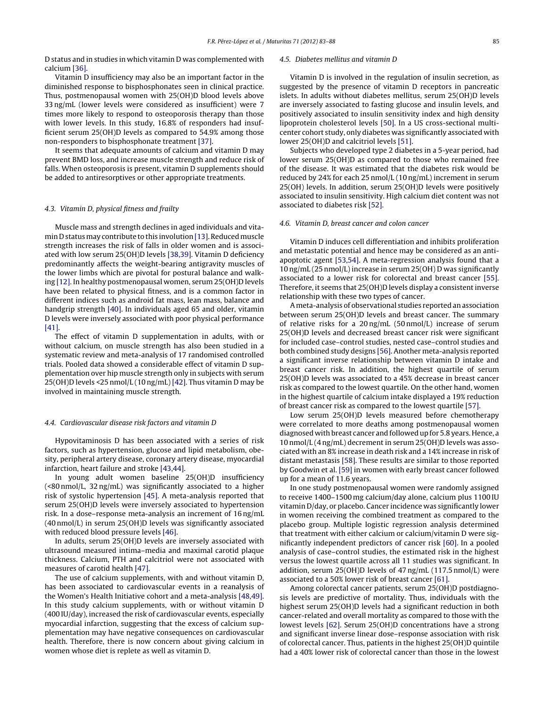D status and in studies in which vitamin D was complemented with calcium [\[36\].](#page-4-0)

Vitamin D insufficiency may also be an important factor in the diminished response to bisphosphonates seen in clinical practice. Thus, postmenopausal women with 25(OH)D blood levels above 33 ng/mL (lower levels were considered as insufficient) were 7 times more likely to respond to osteoporosis therapy than those with lower levels. In this study, 16.8% of responders had insufficient serum 25(OH)D levels as compared to 54.9% among those non-responders to bisphosphonate treatment [\[37\].](#page-4-0)

It seems that adequate amounts of calcium and vitamin D may prevent BMD loss, and increase muscle strength and reduce risk of falls. When osteoporosis is present, vitamin D supplements should be added to antiresorptives or other appropriate treatments.

## 4.3. Vitamin D, physical fitness and frailty

Muscle mass and strength declines in aged individuals and vitamin D status may contribute to this involution [13]. Reduced muscle strength increases the risk of falls in older women and is associated with low serum 25(OH)D levels [\[38,39\].](#page-4-0) Vitamin D deficiency predominantly affects the weight-bearing antigravity muscles of the lower limbs which are pivotal for postural balance and walking [\[12\].](#page-4-0) In healthy postmenopausal women, serum 25(OH)D levels have been related to physical fitness, and is a common factor in different indices such as android fat mass, lean mass, balance and handgrip strength [\[40\].](#page-5-0) In individuals aged 65 and older, vitamin D levels were inversely associated with poor physical performance [\[41\].](#page-5-0)

The effect of vitamin D supplementation in adults, with or without calcium, on muscle strength has also been studied in a systematic review and meta-analysis of 17 randomised controlled trials. Pooled data showed a considerable effect of vitamin D supplementation over hip muscle strength only in subjects with serum 25(OH)D levels <25 nmol/L (10 ng/mL) [\[42\].](#page-5-0) Thus vitamin D may be involved in maintaining muscle strength.

#### 4.4. Cardiovascular disease risk factors and vitamin D

Hypovitaminosis D has been associated with a series of risk factors, such as hypertension, glucose and lipid metabolism, obesity, peripheral artery disease, coronary artery disease, myocardial infarction, heart failure and stroke [\[43,44\].](#page-5-0)

In young adult women baseline 25(OH)D insufficiency (<80 nmol/L, 32 ng/mL) was significantly associated to a higher risk of systolic hypertension [\[45\].](#page-5-0) A meta-analysis reported that serum 25(OH)D levels were inversely associated to hypertension risk. In a dose–response meta-analysis an increment of 16 ng/mL (40 nmol/L) in serum 25(OH)D levels was significantly associated with reduced blood pressure levels [\[46\].](#page-5-0)

In adults, serum 25(OH)D levels are inversely associated with ultrasound measured intima–media and maximal carotid plaque thickness. Calcium, PTH and calcitriol were not associated with measures of carotid health [\[47\].](#page-5-0)

The use of calcium supplements, with and without vitamin D, has been associated to cardiovascular events in a reanalysis of the Women's Health Initiative cohort and a meta-analysis [\[48,49\].](#page-5-0) In this study calcium supplements, with or without vitamin D (400 IU/day), increased the risk of cardiovascular events, especially myocardial infarction, suggesting that the excess of calcium supplementation may have negative consequences on cardiovascular health. Therefore, there is now concern about giving calcium in women whose diet is replete as well as vitamin D.

### 4.5. Diabetes mellitus and vitamin D

Vitamin D is involved in the regulation of insulin secretion, as suggested by the presence of vitamin D receptors in pancreatic islets. In adults without diabetes mellitus, serum 25(OH)D levels are inversely associated to fasting glucose and insulin levels, and positively associated to insulin sensitivity index and high density lipoprotein cholesterol levels [\[50\].](#page-5-0) In a US cross-sectional multicenter cohort study, only diabetes was significantly associated with lower 25(OH)D and calcitriol levels [\[51\].](#page-5-0)

Subjects who developed type 2 diabetes in a 5-year period, had lower serum 25(OH)D as compared to those who remained free of the disease. It was estimated that the diabetes risk would be reduced by 24% for each 25 nmol/L (10 ng/mL) increment in serum 25(OH) levels. In addition, serum 25(OH)D levels were positively associated to insulin sensitivity. High calcium diet content was not associated to diabetes risk [\[52\].](#page-5-0)

#### 4.6. Vitamin D, breast cancer and colon cancer

Vitamin D induces cell differentiation and inhibits proliferation and metastatic potential and hence may be considered as an antiapoptotic agent [\[53,54\].](#page-5-0) A meta-regression analysis found that a 10 ng/mL (25 nmol/L) increase in serum 25(OH) D was significantly associated to a lower risk for colorectal and breast cancer [\[55\].](#page-5-0) Therefore, it seems that 25(OH)D levels display a consistent inverse relationship with these two types of cancer.

A meta-analysis of observational studies reported an association between serum 25(OH)D levels and breast cancer. The summary of relative risks for a 20 ng/mL (50 nmol/L) increase of serum 25(OH)D levels and decreased breast cancer risk were significant for included case–control studies, nested case–control studies and both combined study designs [\[56\].](#page-5-0) Another meta-analysis reported a significant inverse relationship between vitamin D intake and breast cancer risk. In addition, the highest quartile of serum 25(OH)D levels was associated to a 45% decrease in breast cancer risk as compared to the lowest quartile. On the other hand, women in the highest quartile of calcium intake displayed a 19% reduction of breast cancer risk as compared to the lowest quartile [\[57\].](#page-5-0)

Low serum 25(OH)D levels measured before chemotherapy were correlated to more deaths among postmenopausal women diagnosed with breast cancer and followed up for 5.8 years. Hence, a 10 nmol/L (4 ng/mL) decrement in serum 25(OH)D levels was associated with an 8% increase in death risk and a 14% increase in risk of distant metastasis [\[58\].](#page-5-0) These results are similar to those reported by Goodwin et al. [\[59\]](#page-5-0) in women with early breast cancer followed up for a mean of 11.6 years.

In one study postmenopausal women were randomly assigned to receive 1400–1500 mg calcium/day alone, calcium plus 1100 IU vitamin D/day, or placebo. Cancer incidence was significantly lower in women receiving the combined treatment as compared to the placebo group. Multiple logistic regression analysis determined that treatment with either calcium or calcium/vitamin D were significantly independent predictors of cancer risk [\[60\].](#page-5-0) In a pooled analysis of case–control studies, the estimated risk in the highest versus the lowest quartile across all 11 studies was significant. In addition, serum 25(OH)D levels of 47 ng/mL (117.5 nmol/L) were associated to a 50% lower risk of breast cancer [\[61\].](#page-5-0)

Among colorectal cancer patients, serum 25(OH)D postdiagnosis levels are predictive of mortality. Thus, individuals with the highest serum 25(OH)D levels had a significant reduction in both cancer-related and overall mortality as compared to those with the lowest levels [\[62\].](#page-5-0) Serum 25(OH)D concentrations have a strong and significant inverse linear dose–response association with risk of colorectal cancer. Thus, patients in the highest 25(OH)D quintile had a 40% lower risk of colorectal cancer than those in the lowest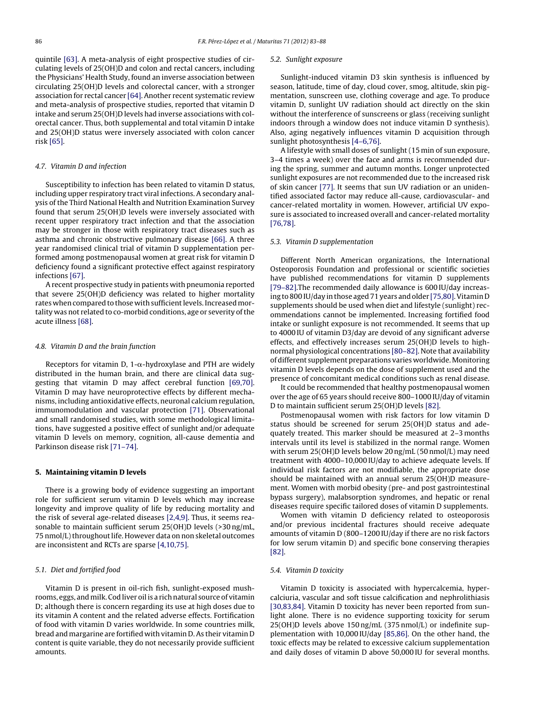quintile [\[63\].](#page-5-0) A meta-analysis of eight prospective studies of circulating levels of 25(OH)D and colon and rectal cancers, including the Physicians' Health Study, found an inverse association between circulating 25(OH)D levels and colorectal cancer, with a stronger association for rectal cancer [\[64\].](#page-5-0) Another recent systematic review and meta-analysis of prospective studies, reported that vitamin D intake and serum 25(OH)D levels had inverse associations with colorectal cancer. Thus, both supplemental and total vitamin D intake and 25(OH)D status were inversely associated with colon cancer risk [\[65\].](#page-5-0)

#### 4.7. Vitamin D and infection

Susceptibility to infection has been related to vitamin D status, including upper respiratory tract viral infections. A secondary analysis of the Third National Health and Nutrition Examination Survey found that serum 25(OH)D levels were inversely associated with recent upper respiratory tract infection and that the association may be stronger in those with respiratory tract diseases such as asthma and chronic obstructive pulmonary disease [\[66\].](#page-5-0) A three year randomised clinical trial of vitamin D supplementation performed among postmenopausal women at great risk for vitamin D deficiency found a significant protective effect against respiratory infections [\[67\].](#page-5-0)

A recent prospective study in patients with pneumonia reported that severe 25(OH)D deficiency was related to higher mortality rates when compared to those with sufficient levels. Increased mortality was not related to co-morbid conditions, age or severity of the acute illness [\[68\].](#page-5-0)

#### 4.8. Vitamin D and the brain function

Receptors for vitamin D, 1- $\alpha$ -hydroxylase and PTH are widely distributed in the human brain, and there are clinical data suggesting that vitamin D may affect cerebral function [\[69,70\].](#page-5-0) Vitamin D may have neuroprotective effects by different mechanisms, including antioxidative effects, neuronal calcium regulation, immunomodulation and vascular protection [\[71\].](#page-5-0) Observational and small randomised studies, with some methodological limitations, have suggested a positive effect of sunlight and/or adequate vitamin D levels on memory, cognition, all-cause dementia and Parkinson disease risk [\[71–74\].](#page-5-0)

### **5. Maintaining vitamin D levels**

There is a growing body of evidence suggesting an important role for sufficient serum vitamin D levels which may increase longevity and improve quality of life by reducing mortality and the risk of several age-related diseases [\[2,4,9\].](#page-4-0) Thus, it seems reasonable to maintain sufficient serum 25(OH)D levels (>30 ng/mL, 75 nmol/L) throughout life. However data on non skeletal outcomes are inconsistent and RCTs are sparse [\[4,10,75\].](#page-4-0)

# 5.1. Diet and fortified food

Vitamin D is present in oil-rich fish, sunlight-exposed mushrooms, eggs, and milk. Cod liver oil is a rich natural source of vitamin D; although there is concern regarding its use at high doses due to its vitamin A content and the related adverse effects. Fortification of food with vitamin D varies worldwide. In some countries milk, bread and margarine are fortified with vitamin D.As their vitamin D content is quite variable, they do not necessarily provide sufficient amounts.

#### 5.2. Sunlight exposure

Sunlight-induced vitamin D3 skin synthesis is influenced by season, latitude, time of day, cloud cover, smog, altitude, skin pigmentation, sunscreen use, clothing coverage and age. To produce vitamin D, sunlight UV radiation should act directly on the skin without the interference of sunscreens or glass (receiving sunlight indoors through a window does not induce vitamin D synthesis). Also, aging negatively influences vitamin D acquisition through sunlight photosynthesis [\[4–6,76\].](#page-4-0)

A lifestyle with small doses of sunlight (15 min of sun exposure, 3–4 times a week) over the face and arms is recommended during the spring, summer and autumn months. Longer unprotected sunlight exposures are not recommended due to the increased risk of skin cancer [\[77\].](#page-5-0) It seems that sun UV radiation or an unidentified associated factor may reduce all-cause, cardiovascular- and cancer-related mortality in women. However, artificial UV exposure is associated to increased overall and cancer-related mortality [\[76,78\].](#page-5-0)

#### 5.3. Vitamin D supplementation

Different North American organizations, the International Osteoporosis Foundation and professional or scientific societies have published recommendations for vitamin D supplements [\[79–82\].T](#page-5-0)he recommended daily allowance is 600 IU/day increasing to 800 IU/day in those aged 71 years and older [75,80]. Vitamin D supplements should be used when diet and lifestyle (sunlight) recommendations cannot be implemented. Increasing fortified food intake or sunlight exposure is not recommended. It seems that up to 4000 IU of vitamin D3/day are devoid of any significant adverse effects, and effectively increases serum 25(OH)D levels to highnormal physiological concentrations [\[80–82\].](#page-5-0) Note that availability of different supplement preparations varies worldwide. Monitoring vitamin D levels depends on the dose of supplement used and the presence of concomitant medical conditions such as renal disease.

It could be recommended that healthy postmenopausal women over the age of 65 years should receive 800–1000 IU/day of vitamin D to maintain sufficient serum 25(OH)D levels [\[82\].](#page-5-0)

Postmenopausal women with risk factors for low vitamin D status should be screened for serum 25(OH)D status and adequately treated. This marker should be measured at 2–3 months intervals until its level is stabilized in the normal range. Women with serum 25(OH)D levels below 20 ng/mL (50 nmol/L) may need treatment with 4000–10,000 IU/day to achieve adequate levels. If individual risk factors are not modifiable, the appropriate dose should be maintained with an annual serum 25(OH)D measurement. Women with morbid obesity (pre- and post gastrointestinal bypass surgery), malabsorption syndromes, and hepatic or renal diseases require specific tailored doses of vitamin D supplements.

Women with vitamin D deficiency related to osteoporosis and/or previous incidental fractures should receive adequate amounts of vitamin D (800–1200 IU/day if there are no risk factors for low serum vitamin D) and specific bone conserving therapies [\[82\].](#page-5-0)

### 5.4. Vitamin D toxicity

Vitamin D toxicity is associated with hypercalcemia, hypercalciuria, vascular and soft tissue calcification and nephrolithiasis [\[30,83,84\].](#page-4-0) Vitamin D toxicity has never been reported from sunlight alone. There is no evidence supporting toxicity for serum 25(OH)D levels above 150 ng/mL (375 nmol/L) or indefinite supplementation with 10,000 IU/day [\[85,86\].](#page-5-0) On the other hand, the toxic effects may be related to excessive calcium supplementation and daily doses of vitamin D above 50,000 IU for several months.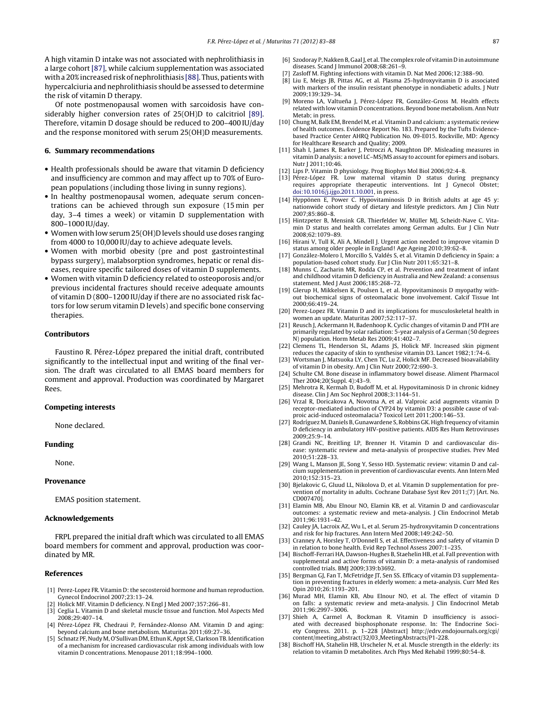<span id="page-4-0"></span>A high vitamin D intake was not associated with nephrolithiasis in a large cohort [\[87\],](#page-5-0) while calcium supplementation was associated with a 20% increased risk of nephrolithiasis [\[88\].](#page-5-0) Thus, patients with hypercalciuria and nephrolithiasis should be assessed to determine the risk of vitamin D therapy.

Of note postmenopausal women with sarcoidosis have considerably higher conversion rates of 25(OH)D to calcitriol [\[89\].](#page-5-0) Therefore, vitamin D dosage should be reduced to 200–400 IU/day and the response monitored with serum 25(OH)D measurements.

## **6. Summary recommendations**

- Health professionals should be aware that vitamin D deficiency and insufficiency are common and may affect up to 70% of European populations (including those living in sunny regions).
- In healthy postmenopausal women, adequate serum concentrations can be achieved through sun exposure (15 min per day, 3–4 times a week) or vitamin D supplementation with 800–1000 IU/day.
- Women with low serum 25(OH)D levels should use doses ranging from 4000 to 10,000 IU/day to achieve adequate levels.
- Women with morbid obesity (pre and post gastrointestinal bypass surgery), malabsorption syndromes, hepatic or renal diseases, require specific tailored doses of vitamin D supplements.
- Women with vitamin D deficiency related to osteoporosis and/or previous incidental fractures should receive adequate amounts of vitamin D (800–1200 IU/day if there are no associated risk factors for low serum vitamin D levels) and specific bone conserving therapies.

#### **Contributors**

Faustino R. Pérez-López prepared the initial draft, contributed significantly to the intellectual input and writing of the final version. The draft was circulated to all EMAS board members for comment and approval. Production was coordinated by Margaret Rees.

#### **Competing interests**

None declared.

#### **Funding**

None.

#### **Provenance**

EMAS position statement.

### **Acknowledgements**

FRPL prepared the initial draft which was circulated to all EMAS board members for comment and approval, production was coordinated by MR.

#### **References**

- [1] Perez-Lopez FR. Vitamin D: the secosteroid hormone and human reproduction. Gynecol Endocrinol 2007;23:13–24.
- [2] Holick MF. Vitamin D deficiency. N Engl J Med 2007;357:266–81.
- [3] Ceglia L. Vitamin D and skeletal muscle tissue and function. Mol Aspects Med 2008;29:407–14.
- [4] Pérez-López FR, Chedraui P, Fernández-Alonso AM. Vitamin D and aging: beyond calcium and bone metabolism. Maturitas 2011;69:27–36.
- [5] Schnatz PF, Nudy M, O'Sullivan DM, Ethun K, Appt SE, Clarkson TB. Identification of a mechanism for increased cardiovascular risk among individuals with low vitamin D concentrations. Menopause 2011;18:994–1000.
- [6] Szodoray P, Nakken B, GaalJ, et al. The complex role of vitamin D in autoimmune diseases. Scand J Immunol 2008;68:261–9.
- Zasloff M. Fighting infections with vitamin D. Nat Med 2006;12:388-90.
- [8] Liu E, Meigs JB, Pittas AG, et al. Plasma 25-hydroxyvitamin D is associated with markers of the insulin resistant phenotype in nondiabetic adults. J Nutr 2009;139:329–34.
- [9] Moreno LA, Valtueña J, Pérez-López FR, González-Gross M. Health effects related with low vitamin D concentrations. Beyond bone metabolism. Ann Nutr Metab; in press.
- [10] Chung M, Balk EM, Brendel M, et al. Vitamin D and calcium: a systematic review of health outcomes. Evidence Report No. 183. Prepared by the Tufts Evidencebased Practice Center AHRQ Publication No. 09-E015. Rockville, MD: Agency for Healthcare Research and Quality; 2009.
- [11] Shah I, James R, Barker J, Petroczi A, Naughton DP. Misleading measures in vitamin D analysis: a novel LC-MS/MS assay to account for epimers and isobars. Nutr J 2011;10:46.
- [12] Lips P. Vitamin D physiology. Prog Biophys Mol Biol 2006;92:4–8.
- [13] Pérez-López FR. Low maternal vitamin D status during pregnancy requires appropriate therapeutic interventions. Int J Gynecol Obstet; [doi:10.1016/j.ijgo.2011.10.001](http://dx.doi.org/10.1016/j.ijgo.2011.10.001), in press.
- [14] Hyppönen E, Power C. Hypovitaminosis D in British adults at age 45 y: nationwide cohort study of dietary and lifestyle predictors. Am J Clin Nutr 2007;85:860–8.
- [15] Hintzpeter B, Mensink GB, Thierfelder W, Müller MJ, Scheidt-Nave C. Vitamin D status and health correlates among German adults. Eur J Clin Nutr 2008;62:1079–89.
- [16] Hirani V, Tull K, Ali A, Mindell J. Urgent action needed to improve vitamin D status among older people in England! Age Ageing 2010;39:62–8.
- [17] González-Molero I, Morcillo S, Valdés S, et al. Vitamin D deficiency in Spain: a population-based cohort study. Eur J Clin Nutr 2011;65:321–8.
- [18] Munns C, Zacharin MR, Rodda CP, et al. Prevention and treatment of infant and childhood vitamin D deficiency in Australia and New Zealand: a consensus statement. Med J Aust 2006;185:268–72.
- [19] Glerup H, Mikkelsen K, Poulsen L, et al. Hypovitaminosis D myopathy without biochemical signs of osteomalacic bone involvement. Calcif Tissue Int 2000;66:419–24.
- [20] Perez-Lopez FR. Vitamin D and its implications for musculoskeletal health in women an update. Maturitas 2007;52:117–37.
- [21] Reusch J, Ackermann H, Badenhoop K. Cyclic changes of vitamin D and PTH are primarily regulated by solar radiation: 5-year analysis of a German (50 degrees N) population. Horm Metab Res 2009;41:402–7.
- [22] Clemens TL, Henderson SL, Adams JS, Holick MF. Increased skin pigment reduces the capacity of skin to synthesise vitamin D3. Lancet 1982;1:74–6.
- [23] Wortsman J, Matsuoka LY, Chen TC, Lu Z, Holick MF. Decreased bioavailability of vitamin D in obesity. Am J Clin Nutr 2000;72:690–3.
- [24] Schulte CM. Bone disease in inflammatory bowel disease. Aliment Pharmacol Ther 2004;20(Suppl. 4):43–9.
- [25] Mehrotra R, Kermah D, Budoff M, et al. Hypovitaminosis D in chronic kidney disease. Clin J Am Soc Nephrol 2008;3:1144–51.
- [26] Vrzal R, Doricakova A, Novotna A, et al. Valproic acid augments vitamin D receptor-mediated induction of CYP24 by vitamin D3: a possible cause of valproic acid-induced osteomalacia? Toxicol Lett 2011;200:146–53.
- [27] Rodríguez M, Daniels B, Gunawardene S, Robbins GK. High frequency of vitamin D deficiency in ambulatory HIV-positive patients. AIDS Res Hum Retroviruses 2009;25:9–14.
- [28] Grandi NC, Breitling LP, Brenner H. Vitamin D and cardiovascular disease: systematic review and meta-analysis of prospective studies. Prev Med 2010;51:228–33.
- [29] Wang L, Manson JE, Song Y, Sesso HD. Systematic review: vitamin D and calcium supplementation in prevention of cardiovascular events. Ann Intern Med 2010;152:315–23.
- [30] Bjelakovic G, Gluud LL, Nikolova D, et al. Vitamin D supplementation for prevention of mortality in adults. Cochrane Database Syst Rev 2011;(7) [Art. No. CD007470].
- [31] Elamin MB, Abu Elnour NO, Elamin KB, et al. Vitamin D and cardiovascular outcomes: a systematic review and meta-analysis. J Clin Endocrinol Metab 2011;96:1931–42.
- [32] Cauley JA, Lacroix AZ, Wu L, et al. Serum 25-hydroxyvitamin D concentrations and risk for hip fractures. Ann Intern Med 2008;149:242–50.
- [33] Cranney A, Horsley T, O'Donnell S, et al. Effectiveness and safety of vitamin D in relation to bone health. Evid Rep Technol Assess 2007:1–235.
- [34] Bischoff-Ferrari HA, Dawson-Hughes B, Staehelin HB, et al. Fall prevention with supplemental and active forms of vitamin D: a meta-analysis of randomised controlled trials. BMJ 2009;339:b3692.
- [35] Bergman GJ, Fan T, McFetridge JT, Sen SS. Efficacy of vitamin D3 supplementation in preventing fractures in elderly women: a meta-analysis. Curr Med Res Opin 2010;26:1193–201.
- [36] Murad MH, Elamin KB, Abu Elnour NO, et al. The effect of vitamin D on falls: a systematic review and meta-analysis. J Clin Endocrinol Metab 2011;96:2997–3006.
- [37] Shieh A, Carmel A, Bockman R, Vitamin D insufficiency is associated with decreased bisphosphonate response. In: The Endocrine Society Congress. 2011. p. 1–228 [Abstract] http://edrv.endojournals.org/cgi/ content/meeting abstract/32/03 MeetingAbstracts/P1-228.
- [38] Bischoff HA, Stahelin HB, Urscheler N, et al. Muscle strength in the elderly: its relation to vitamin D metabolites. Arch Phys Med Rehabil 1999;80:54–8.